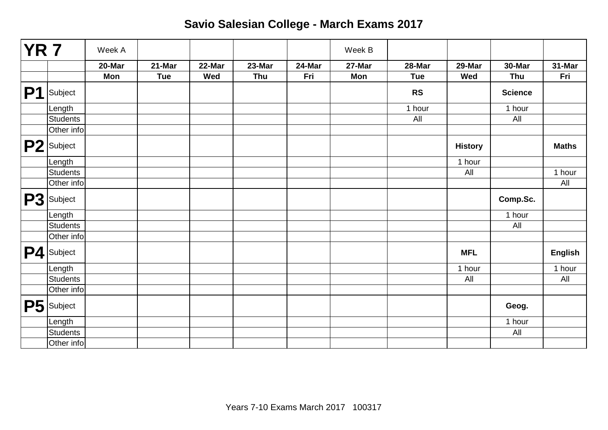| $\overline{YR7}$ |                 | Week A |            |        |        |        | Week B     |            |                |                |                |
|------------------|-----------------|--------|------------|--------|--------|--------|------------|------------|----------------|----------------|----------------|
|                  |                 | 20-Mar | 21-Mar     | 22-Mar | 23-Mar | 24-Mar | 27-Mar     | 28-Mar     | 29-Mar         | 30-Mar         | 31-Mar         |
|                  |                 | Mon    | <b>Tue</b> | Wed    | Thu    | Fri    | <b>Mon</b> | <b>Tue</b> | Wed            | <b>Thu</b>     | Fri            |
| P1               | Subject         |        |            |        |        |        |            | <b>RS</b>  |                | <b>Science</b> |                |
|                  | Length          |        |            |        |        |        |            | 1 hour     |                | 1 hour         |                |
|                  | <b>Students</b> |        |            |        |        |        |            | All        |                | All            |                |
|                  | Other info      |        |            |        |        |        |            |            |                |                |                |
|                  | P2 Subject      |        |            |        |        |        |            |            | <b>History</b> |                | <b>Maths</b>   |
|                  | Length          |        |            |        |        |        |            |            | 1 hour         |                |                |
|                  | Students        |        |            |        |        |        |            |            | All            |                | 1 hour         |
|                  | Other info      |        |            |        |        |        |            |            |                |                | All            |
|                  | P3 Subject      |        |            |        |        |        |            |            |                | Comp.Sc.       |                |
|                  | Length          |        |            |        |        |        |            |            |                | 1 hour         |                |
|                  | <b>Students</b> |        |            |        |        |        |            |            |                | All            |                |
|                  | Other info      |        |            |        |        |        |            |            |                |                |                |
|                  | P4 Subject      |        |            |        |        |        |            |            | <b>MFL</b>     |                | <b>English</b> |
|                  | Length          |        |            |        |        |        |            |            | 1 hour         |                | 1 hour         |
|                  | <b>Students</b> |        |            |        |        |        |            |            | All            |                | All            |
|                  | Other info      |        |            |        |        |        |            |            |                |                |                |
|                  | P5 Subject      |        |            |        |        |        |            |            |                | Geog.          |                |
|                  | Length          |        |            |        |        |        |            |            |                | 1 hour         |                |
|                  | <b>Students</b> |        |            |        |        |        |            |            |                | All            |                |
|                  | Other info      |        |            |        |        |        |            |            |                |                |                |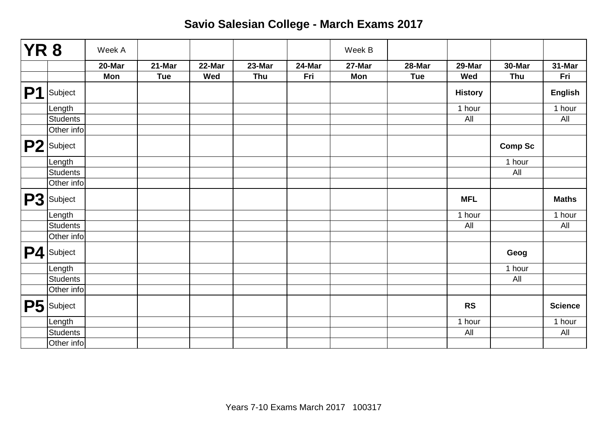| YR 8 |                        | Week A     |            |        |        |        | Week B |            |                |                |                |
|------|------------------------|------------|------------|--------|--------|--------|--------|------------|----------------|----------------|----------------|
|      |                        | 20-Mar     | 21-Mar     | 22-Mar | 23-Mar | 24-Mar | 27-Mar | 28-Mar     | 29-Mar         | 30-Mar         | 31-Mar         |
|      |                        | <b>Mon</b> | <b>Tue</b> | Wed    | Thu    | Fri    | Mon    | <b>Tue</b> | Wed            | Thu            | Fri            |
| P1   | Subject                |            |            |        |        |        |        |            | <b>History</b> |                | <b>English</b> |
|      | Length                 |            |            |        |        |        |        |            | 1 hour         |                | 1 hour         |
|      | <b>Students</b>        |            |            |        |        |        |        |            | All            |                | All            |
|      | Other info             |            |            |        |        |        |        |            |                |                |                |
|      | P <sub>2</sub> Subject |            |            |        |        |        |        |            |                | <b>Comp Sc</b> |                |
|      | Length                 |            |            |        |        |        |        |            |                | 1 hour         |                |
|      | <b>Students</b>        |            |            |        |        |        |        |            |                | All            |                |
|      | Other info             |            |            |        |        |        |        |            |                |                |                |
|      | P3 Subject             |            |            |        |        |        |        |            | <b>MFL</b>     |                | <b>Maths</b>   |
|      | Length                 |            |            |        |        |        |        |            | 1 hour         |                | 1 hour         |
|      | <b>Students</b>        |            |            |        |        |        |        |            | All            |                | All            |
|      | Other info             |            |            |        |        |        |        |            |                |                |                |
|      | P4 Subject             |            |            |        |        |        |        |            |                | Geog           |                |
|      | Length                 |            |            |        |        |        |        |            |                | 1 hour         |                |
|      | <b>Students</b>        |            |            |        |        |        |        |            |                | All            |                |
|      | Other info             |            |            |        |        |        |        |            |                |                |                |
|      | P5 Subject             |            |            |        |        |        |        |            | <b>RS</b>      |                | <b>Science</b> |
|      | Length                 |            |            |        |        |        |        |            | 1 hour         |                | 1 hour         |
|      | <b>Students</b>        |            |            |        |        |        |        |            | All            |                | All            |
|      | Other info             |            |            |        |        |        |        |            |                |                |                |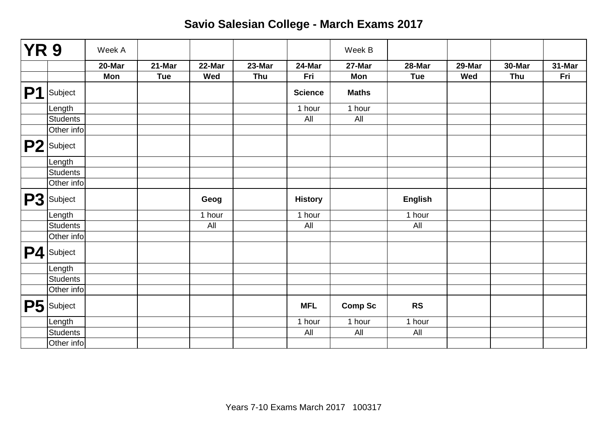| <b>YR 9</b>    |                 | Week A |            |        |        |                | Week B         |                |        |        |        |
|----------------|-----------------|--------|------------|--------|--------|----------------|----------------|----------------|--------|--------|--------|
|                |                 | 20-Mar | 21-Mar     | 22-Mar | 23-Mar | 24-Mar         | 27-Mar         | 28-Mar         | 29-Mar | 30-Mar | 31-Mar |
|                |                 | Mon    | <b>Tue</b> | Wed    | Thu    | Fri            | Mon            | <b>Tue</b>     | Wed    | Thu    | Fri    |
| P <sub>1</sub> | Subject         |        |            |        |        | <b>Science</b> | <b>Maths</b>   |                |        |        |        |
|                | Length          |        |            |        |        | 1 hour         | 1 hour         |                |        |        |        |
|                | <b>Students</b> |        |            |        |        | All            | All            |                |        |        |        |
|                | Other info      |        |            |        |        |                |                |                |        |        |        |
|                | P2 Subject      |        |            |        |        |                |                |                |        |        |        |
|                | Length          |        |            |        |        |                |                |                |        |        |        |
|                | <b>Students</b> |        |            |        |        |                |                |                |        |        |        |
|                | Other info      |        |            |        |        |                |                |                |        |        |        |
|                | P3 Subject      |        |            | Geog   |        | <b>History</b> |                | <b>English</b> |        |        |        |
|                | Length          |        |            | 1 hour |        | 1 hour         |                | 1 hour         |        |        |        |
|                | <b>Students</b> |        |            | All    |        | All            |                | All            |        |        |        |
|                | Other info      |        |            |        |        |                |                |                |        |        |        |
|                | P4 Subject      |        |            |        |        |                |                |                |        |        |        |
|                | Length          |        |            |        |        |                |                |                |        |        |        |
|                | Students        |        |            |        |        |                |                |                |        |        |        |
|                | Other info      |        |            |        |        |                |                |                |        |        |        |
| P5             | Subject         |        |            |        |        | <b>MFL</b>     | <b>Comp Sc</b> | <b>RS</b>      |        |        |        |
|                | Length          |        |            |        |        | 1 hour         | 1 hour         | 1 hour         |        |        |        |
|                | Students        |        |            |        |        | All            | All            | All            |        |        |        |
|                | Other info      |        |            |        |        |                |                |                |        |        |        |